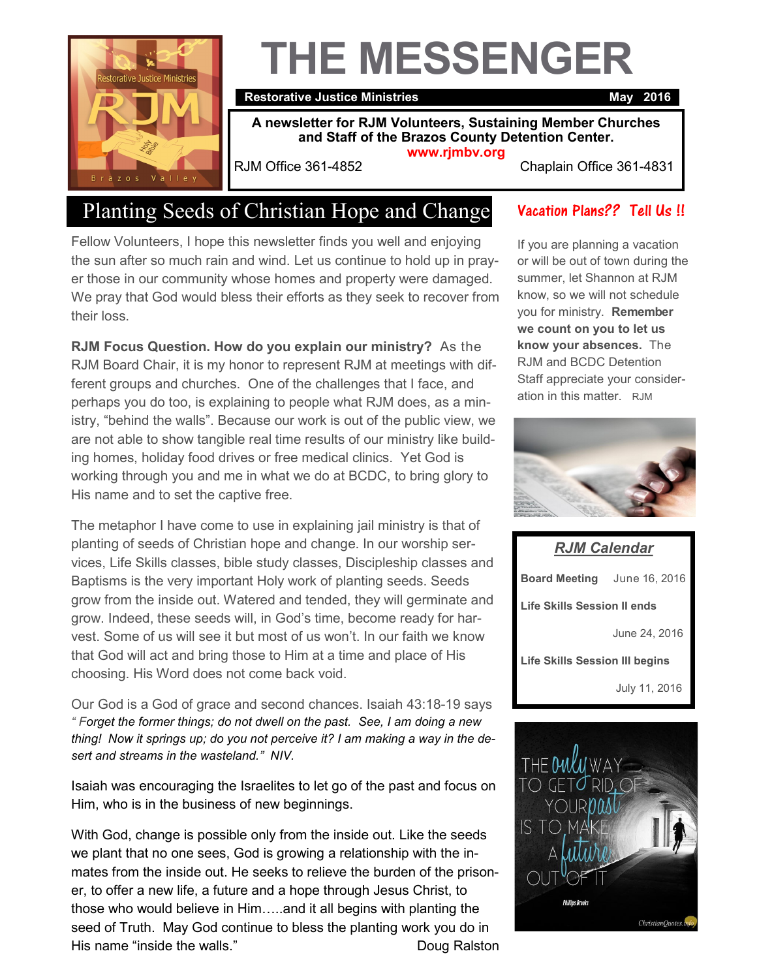

# **THE MESSENGER**

#### **Restorative Justice Ministries May 2016**

**A newsletter for RJM Volunteers, Sustaining Member Churches and Staff of the Brazos County Detention Center. www.rjmbv.org**

RJM Office 361-4852 Chaplain Office 361-4831

## Planting Seeds of Christian Hope and Change

Fellow Volunteers, I hope this newsletter finds you well and enjoying the sun after so much rain and wind. Let us continue to hold up in prayer those in our community whose homes and property were damaged. We pray that God would bless their efforts as they seek to recover from their loss.

**RJM Focus Question. How do you explain our ministry?** As the RJM Board Chair, it is my honor to represent RJM at meetings with different groups and churches. One of the challenges that I face, and perhaps you do too, is explaining to people what RJM does, as a ministry, "behind the walls". Because our work is out of the public view, we are not able to show tangible real time results of our ministry like building homes, holiday food drives or free medical clinics. Yet God is working through you and me in what we do at BCDC, to bring glory to His name and to set the captive free.

The metaphor I have come to use in explaining jail ministry is that of planting of seeds of Christian hope and change. In our worship services, Life Skills classes, bible study classes, Discipleship classes and Baptisms is the very important Holy work of planting seeds. Seeds grow from the inside out. Watered and tended, they will germinate and grow. Indeed, these seeds will, in God's time, become ready for harvest. Some of us will see it but most of us won't. In our faith we know that God will act and bring those to Him at a time and place of His choosing. His Word does not come back void.

Our God is a God of grace and second chances. Isaiah 43:18-19 says *" Forget the former things; do not dwell on the past. See, I am doing a new thing! Now it springs up; do you not perceive it? I am making a way in the desert and streams in the wasteland." NIV.* 

Isaiah was encouraging the Israelites to let go of the past and focus on Him, who is in the business of new beginnings.

With God, change is possible only from the inside out. Like the seeds we plant that no one sees, God is growing a relationship with the inmates from the inside out. He seeks to relieve the burden of the prisoner, to offer a new life, a future and a hope through Jesus Christ, to those who would believe in Him…..and it all begins with planting the seed of Truth. May God continue to bless the planting work you do in His name "inside the walls." The Contract of the Doug Ralston

#### Vacation Plans?? Tell Us !!

If you are planning a vacation or will be out of town during the summer, let Shannon at RJM know, so we will not schedule you for ministry. **Remember we count on you to let us know your absences.** The RJM and BCDC Detention Staff appreciate your consideration in this matter. RJM



*RJM Calendar* **Board Meeting** June 16, 2016 **Life Skills Session II ends** June 24, 2016 **Life Skills Session III begins** July 11, 2016

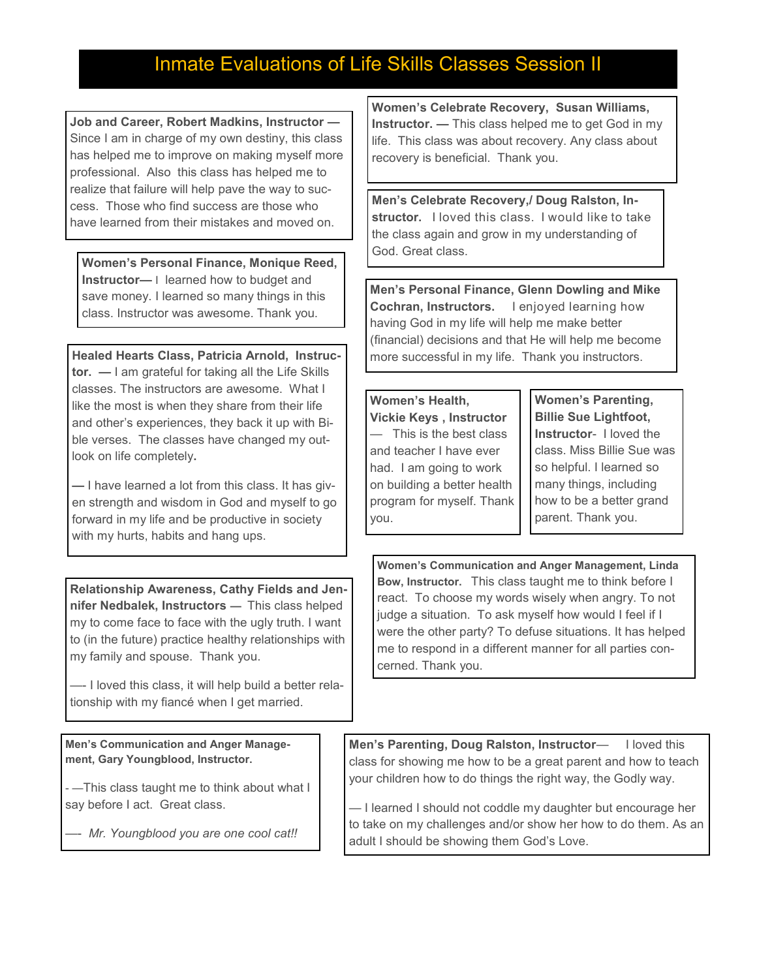### Inmate Evaluations of Life Skills Classes Session II

**Job and Career, Robert Madkins, Instructor —** Since I am in charge of my own destiny, this class has helped me to improve on making myself more professional. Also this class has helped me to realize that failure will help pave the way to success. Those who find success are those who have learned from their mistakes and moved on.

**Women's Personal Finance, Monique Reed, Instructor—** I learned how to budget and save money. I learned so many things in this class. Instructor was awesome. Thank you.

**Healed Hearts Class, Patricia Arnold, Instructor. —** I am grateful for taking all the Life Skills classes. The instructors are awesome. What I like the most is when they share from their life and other's experiences, they back it up with Bible verses. The classes have changed my outlook on life completely**.**

**—** I have learned a lot from this class. It has given strength and wisdom in God and myself to go forward in my life and be productive in society with my hurts, habits and hang ups.

**Relationship Awareness, Cathy Fields and Jennifer Nedbalek, Instructors —** This class helped my to come face to face with the ugly truth. I want to (in the future) practice healthy relationships with my family and spouse. Thank you.

—- I loved this class, it will help build a better relationship with my fiancé when I get married.

**Men's Communication and Anger Management, Gary Youngblood, Instructor.** 

- —This class taught me to think about what I say before I act. Great class.

—- *Mr. Youngblood you are one cool cat!!*

**Women's Celebrate Recovery, Susan Williams, Instructor. —** This class helped me to get God in my life. This class was about recovery. Any class about recovery is beneficial. Thank you.

**Men's Celebrate Recovery,/ Doug Ralston, Instructor.** I loved this class. I would like to take the class again and grow in my understanding of God. Great class.

**Men's Personal Finance, Glenn Dowling and Mike Cochran, Instructors.** I enjoyed learning how having God in my life will help me make better (financial) decisions and that He will help me become more successful in my life. Thank you instructors.

#### **Women's Health,**

**Vickie Keys , Instructor** — This is the best class and teacher I have ever had. I am going to work on building a better health program for myself. Thank you.

**Women's Parenting, Billie Sue Lightfoot, Instructor**- I loved the class. Miss Billie Sue was so helpful. I learned so many things, including how to be a better grand parent. Thank you.

**Women's Communication and Anger Management, Linda Bow, Instructor.** This class taught me to think before I react. To choose my words wisely when angry. To not judge a situation. To ask myself how would I feel if I were the other party? To defuse situations. It has helped me to respond in a different manner for all parties concerned. Thank you.

**Men's Parenting, Doug Ralston, Instructor**— I loved this class for showing me how to be a great parent and how to teach your children how to do things the right way, the Godly way.

— I learned I should not coddle my daughter but encourage her to take on my challenges and/or show her how to do them. As an adult I should be showing them God's Love.